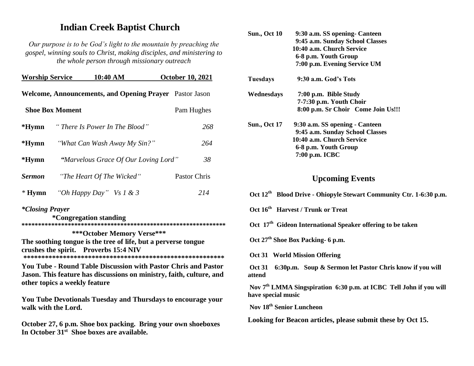# **Indian Creek Baptist Church**

*Our purpose is to be God's light to the mountain by preaching the gospel, winning souls to Christ, making disciples, and ministering to the whole person through missionary outreach*

| <b>Worship Service</b>                                         |  | 10:40 AM                  |                                      |  | <b>October 10, 2021</b> |     |
|----------------------------------------------------------------|--|---------------------------|--------------------------------------|--|-------------------------|-----|
| <b>Welcome, Announcements, and Opening Prayer</b> Pastor Jason |  |                           |                                      |  |                         |     |
| <b>Shoe Box Moment</b>                                         |  |                           |                                      |  | Pam Hughes              |     |
| *Hymn                                                          |  |                           | "There Is Power In The Blood"        |  |                         | 268 |
| *Hymn                                                          |  |                           | "What Can Wash Away My Sin?"         |  | 264                     |     |
| $*Hymn$                                                        |  |                           | "Marvelous Grace Of Our Loving Lord" |  | 38                      |     |
| <b>Sermon</b>                                                  |  | "The Heart Of The Wicked" |                                      |  | Pastor Chris            |     |
| $*Hymn$                                                        |  | "Oh Happy Day" Vs 1 & 3   |                                      |  | 214                     |     |

### *\*Closing Prayer*

 **\*Congregation standing \*\*\*\*\*\*\*\*\*\*\*\*\*\*\*\*\*\*\*\*\*\*\*\*\*\*\*\*\*\*\*\*\*\*\*\*\*\*\*\*\*\*\*\*\*\*\*\*\*\*\*\*\*\*\*\*\*\*\*\*\*\***

 **\*\*\*October Memory Verse\*\*\* The soothing tongue is the tree of life, but a perverse tongue crushes the spirit. Proverbs 15:4 NIV \*\*\*\*\*\*\*\*\*\*\*\*\*\*\*\*\*\*\*\*\*\*\*\*\*\*\*\*\*\*\*\*\*\*\*\*\*\*\*\*\*\*\*\*\*\*\*\*\*\*\*\*\*\*\*\*** 

**You Tube - Round Table Discussion with Pastor Chris and Pastor Jason. This feature has discussions on ministry, faith, culture, and other topics a weekly feature**

**You Tube Devotionals Tuesday and Thursdays to encourage your walk with the Lord.**

**October 27, 6 p.m. Shoe box packing. Bring your own shoeboxes In October 31st Shoe boxes are available.**

| <b>Sun., Oct 10</b> | 9:30 a.m. SS opening - Canteen     |  |  |  |  |
|---------------------|------------------------------------|--|--|--|--|
|                     | 9:45 a.m. Sunday School Classes    |  |  |  |  |
|                     | 10:40 a.m. Church Service          |  |  |  |  |
|                     | 6-8 p.m. Youth Group               |  |  |  |  |
|                     | 7:00 p.m. Evening Service UM       |  |  |  |  |
| Tuesdays            | 9:30 a.m. God's Tots               |  |  |  |  |
| Wednesdays          | 7:00 p.m. Bible Study              |  |  |  |  |
|                     | 7-7:30 p.m. Youth Choir            |  |  |  |  |
|                     | 8:00 p.m. Sr Choir Come Join Us!!! |  |  |  |  |
| <b>Sun., Oct 17</b> | 9:30 a.m. SS opening - Canteen     |  |  |  |  |
|                     | 9:45 a.m. Sunday School Classes    |  |  |  |  |
|                     | 10:40 a.m. Church Service          |  |  |  |  |
|                     | 6-8 p.m. Youth Group               |  |  |  |  |
|                     | 7:00 p.m. ICBC                     |  |  |  |  |
|                     |                                    |  |  |  |  |

# **Upcoming Events**

- **Oct 12th Blood Drive - Ohiopyle Stewart Community Ctr. 1-6:30 p.m.**
- **Oct 16th Harvest / Trunk or Treat**

**Oct 17th Gideon International Speaker offering to be taken**

- **Oct 27th Shoe Box Packing- 6 p.m.**
- **Oct 31 World Mission Offering**

**Oct 31 6:30p.m. Soup & Sermon let Pastor Chris know if you will attend**

**Nov 7th LMMA Singspiration 6:30 p.m. at ICBC Tell John if you will have special music**

**Nov 18th Senior Luncheon**

**Looking for Beacon articles, please submit these by Oct 15.**